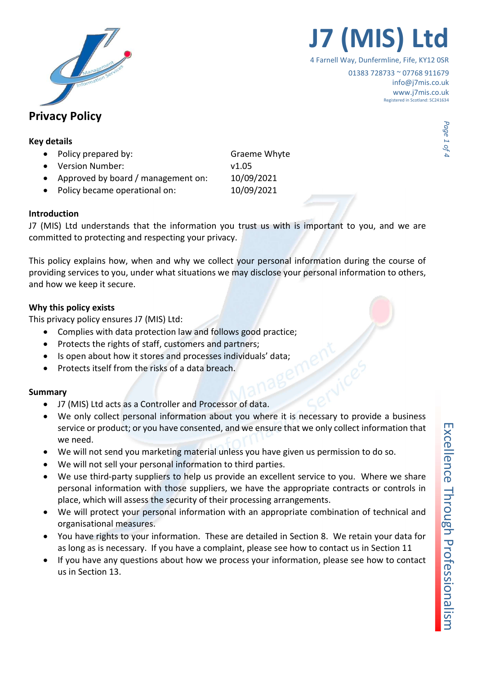

- Policy prepared by: Graeme Whyte
- Version Number: v1.05
- Approved by board / management on: 10/09/2021
- Policy became operational on: 10/09/2021

## Introduction

J7 (MIS) Ltd understands that the information you trust us with is important to you, and we are committed to protecting and respecting your privacy.

This policy explains how, when and why we collect your personal information during the course of providing services to you, under what situations we may disclose your personal information to others, and how we keep it secure.

## Why this policy exists

This privacy policy ensures J7 (MIS) Ltd:

- Complies with data protection law and follows good practice;
- Protects the rights of staff, customers and partners;
- Is open about how it stores and processes individuals' data;
- Protects itself from the risks of a data breach.

## Summary

- J7 (MIS) Ltd acts as a Controller and Processor of data.
- We only collect personal information about you where it is necessary to provide a business service or product; or you have consented, and we ensure that we only collect information that we need.
- We will not send you marketing material unless you have given us permission to do so.
- We will not sell your personal information to third parties.
- We use third-party suppliers to help us provide an excellent service to you. Where we share personal information with those suppliers, we have the appropriate contracts or controls in place, which will assess the security of their processing arrangements.
- We will protect your personal information with an appropriate combination of technical and organisational measures.
- You have rights to your information. These are detailed in Section 8. We retain your data for as long as is necessary. If you have a complaint, please see how to contact us in Section 11
- If you have any questions about how we process your information, please see how to contact us in Section 13.

Excellence Through Professionalism

01383 728733 ~ 07768 911679 info@j7mis.co.uk www.j7mis.co.uk Registered in Scotland: SC241634

**J7 (MIS)** 

4 Farnell Way, Dunfermline, Fife, KY12 0SR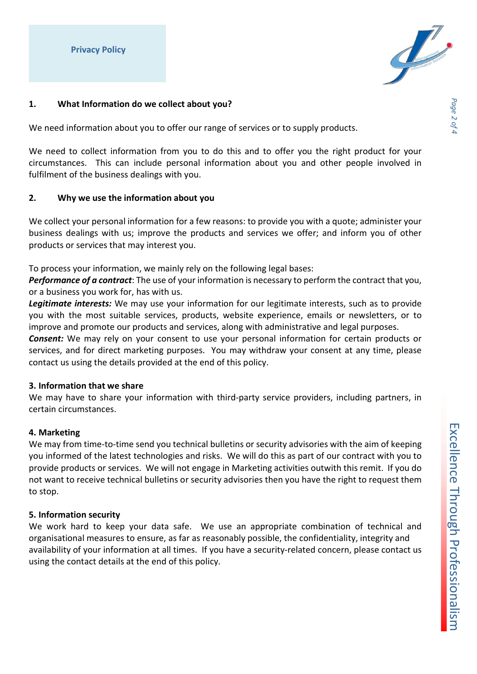

## 1. What Information do we collect about you?

We need information about you to offer our range of services or to supply products.

We need to collect information from you to do this and to offer you the right product for your circumstances. This can include personal information about you and other people involved in fulfilment of the business dealings with you.

## 2. Why we use the information about you

We collect your personal information for a few reasons: to provide you with a quote; administer your business dealings with us; improve the products and services we offer; and inform you of other products or services that may interest you.

To process your information, we mainly rely on the following legal bases:

Performance of a contract: The use of your information is necessary to perform the contract that you, or a business you work for, has with us.

Legitimate interests: We may use your information for our legitimate interests, such as to provide you with the most suitable services, products, website experience, emails or newsletters, or to improve and promote our products and services, along with administrative and legal purposes.

**Consent:** We may rely on your consent to use your personal information for certain products or services, and for direct marketing purposes. You may withdraw your consent at any time, please contact us using the details provided at the end of this policy.

## 3. Information that we share

We may have to share your information with third-party service providers, including partners, in certain circumstances.

## 4. Marketing

We may from time-to-time send you technical bulletins or security advisories with the aim of keeping you informed of the latest technologies and risks. We will do this as part of our contract with you to provide products or services. We will not engage in Marketing activities outwith this remit. If you do not want to receive technical bulletins or security advisories then you have the right to request them to stop.

## 5. Information security

We work hard to keep your data safe. We use an appropriate combination of technical and organisational measures to ensure, as far as reasonably possible, the confidentiality, integrity and availability of your information at all times. If you have a security-related concern, please contact us using the contact details at the end of this policy.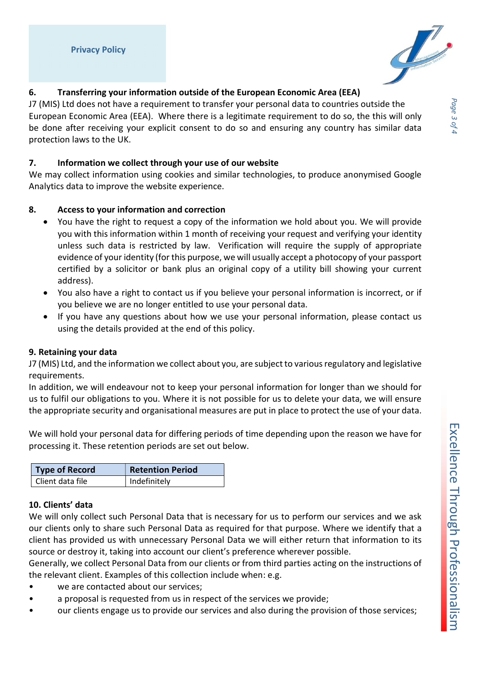

# 6. Transferring your information outside of the European Economic Area (EEA)

J7 (MIS) Ltd does not have a requirement to transfer your personal data to countries outside the European Economic Area (EEA). Where there is a legitimate requirement to do so, the this will only be done after receiving your explicit consent to do so and ensuring any country has similar data protection laws to the UK.

# 7. Information we collect through your use of our website

We may collect information using cookies and similar technologies, to produce anonymised Google Analytics data to improve the website experience.

# 8. Access to your information and correction

- You have the right to request a copy of the information we hold about you. We will provide you with this information within 1 month of receiving your request and verifying your identity unless such data is restricted by law. Verification will require the supply of appropriate evidence of your identity (for this purpose, we will usually accept a photocopy of your passport certified by a solicitor or bank plus an original copy of a utility bill showing your current address).
- You also have a right to contact us if you believe your personal information is incorrect, or if you believe we are no longer entitled to use your personal data.
- If you have any questions about how we use your personal information, please contact us using the details provided at the end of this policy.

# 9. Retaining your data

J7 (MIS) Ltd, and the information we collect about you, are subject to various regulatory and legislative requirements.

In addition, we will endeavour not to keep your personal information for longer than we should for us to fulfil our obligations to you. Where it is not possible for us to delete your data, we will ensure the appropriate security and organisational measures are put in place to protect the use of your data.

We will hold your personal data for differing periods of time depending upon the reason we have for processing it. These retention periods are set out below.

| Type of Record   | <b>Retention Period</b> |
|------------------|-------------------------|
| Client data file | Indefinitely            |

# 10. Clients' data

We will only collect such Personal Data that is necessary for us to perform our services and we ask our clients only to share such Personal Data as required for that purpose. Where we identify that a client has provided us with unnecessary Personal Data we will either return that information to its source or destroy it, taking into account our client's preference wherever possible.

Generally, we collect Personal Data from our clients or from third parties acting on the instructions of the relevant client. Examples of this collection include when: e.g.

- we are contacted about our services;
- a proposal is requested from us in respect of the services we provide;
- our clients engage us to provide our services and also during the provision of those services;